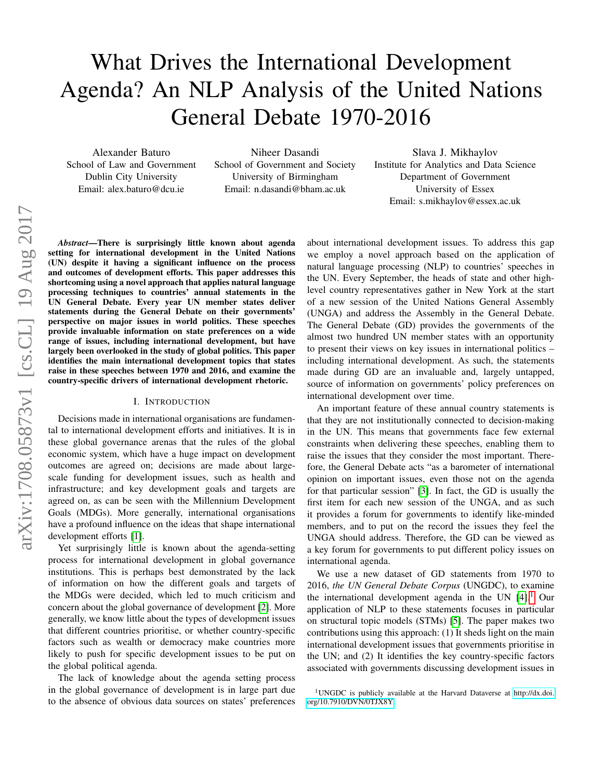## What Drives the International Development Agenda? An NLP Analysis of the United Nations General Debate 1970-2016

Alexander Baturo School of Law and Government Dublin City University Email: alex.baturo@dcu.ie

Niheer Dasandi School of Government and Society University of Birmingham Email: n.dasandi@bham.ac.uk

Slava J. Mikhaylov Institute for Analytics and Data Science Department of Government University of Essex Email: s.mikhaylov@essex.ac.uk

*Abstract*—There is surprisingly little known about agenda setting for international development in the United Nations (UN) despite it having a significant influence on the process and outcomes of development efforts. This paper addresses this shortcoming using a novel approach that applies natural language processing techniques to countries' annual statements in the UN General Debate. Every year UN member states deliver statements during the General Debate on their governments' perspective on major issues in world politics. These speeches provide invaluable information on state preferences on a wide range of issues, including international development, but have largely been overlooked in the study of global politics. This paper identifies the main international development topics that states raise in these speeches between 1970 and 2016, and examine the country-specific drivers of international development rhetoric.

#### I. INTRODUCTION

Decisions made in international organisations are fundamental to international development efforts and initiatives. It is in these global governance arenas that the rules of the global economic system, which have a huge impact on development outcomes are agreed on; decisions are made about largescale funding for development issues, such as health and infrastructure; and key development goals and targets are agreed on, as can be seen with the Millennium Development Goals (MDGs). More generally, international organisations have a profound influence on the ideas that shape international development efforts [\[1\]](#page-5-0).

Yet surprisingly little is known about the agenda-setting process for international development in global governance institutions. This is perhaps best demonstrated by the lack of information on how the different goals and targets of the MDGs were decided, which led to much criticism and concern about the global governance of development [\[2\]](#page-5-1). More generally, we know little about the types of development issues that different countries prioritise, or whether country-specific factors such as wealth or democracy make countries more likely to push for specific development issues to be put on the global political agenda.

The lack of knowledge about the agenda setting process in the global governance of development is in large part due to the absence of obvious data sources on states' preferences about international development issues. To address this gap we employ a novel approach based on the application of natural language processing (NLP) to countries' speeches in the UN. Every September, the heads of state and other highlevel country representatives gather in New York at the start of a new session of the United Nations General Assembly (UNGA) and address the Assembly in the General Debate. The General Debate (GD) provides the governments of the almost two hundred UN member states with an opportunity to present their views on key issues in international politics – including international development. As such, the statements made during GD are an invaluable and, largely untapped, source of information on governments' policy preferences on international development over time.

An important feature of these annual country statements is that they are not institutionally connected to decision-making in the UN. This means that governments face few external constraints when delivering these speeches, enabling them to raise the issues that they consider the most important. Therefore, the General Debate acts "as a barometer of international opinion on important issues, even those not on the agenda for that particular session" [\[3\]](#page-5-2). In fact, the GD is usually the first item for each new session of the UNGA, and as such it provides a forum for governments to identify like-minded members, and to put on the record the issues they feel the UNGA should address. Therefore, the GD can be viewed as a key forum for governments to put different policy issues on international agenda.

We use a new dataset of GD statements from 1970 to 2016, *the UN General Debate Corpus* (UNGDC), to examine the international development agenda in the UN  $[4]$ .<sup>[1](#page-0-0)</sup> Our application of NLP to these statements focuses in particular on structural topic models (STMs) [\[5\]](#page-5-4). The paper makes two contributions using this approach: (1) It sheds light on the main international development issues that governments prioritise in the UN; and (2) It identifies the key country-specific factors associated with governments discussing development issues in

<span id="page-0-0"></span><sup>1</sup>UNGDC is publicly available at the Harvard Dataverse at [http://dx.doi.](http://dx.doi.org/10.7910/DVN/0TJX8Y) [org/10.7910/DVN/0TJX8Y](http://dx.doi.org/10.7910/DVN/0TJX8Y)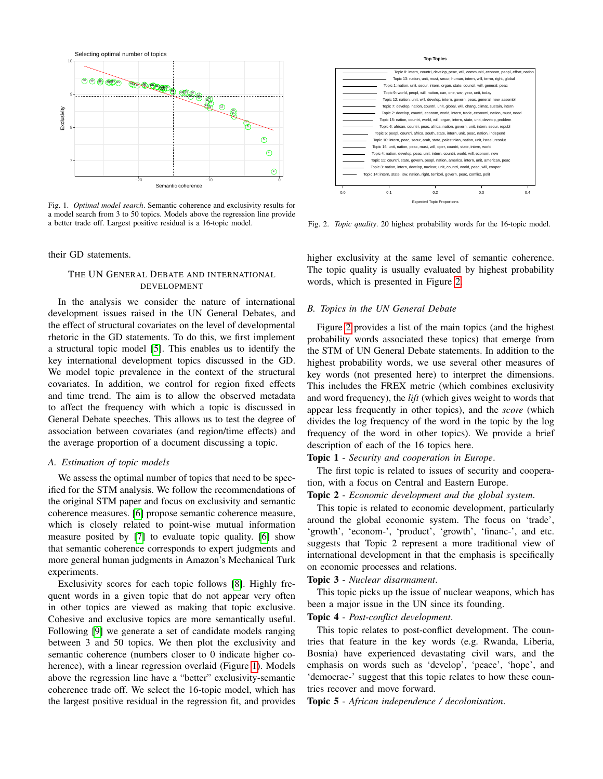

<span id="page-1-0"></span>Fig. 1. *Optimal model search*. Semantic coherence and exclusivity results for a model search from 3 to 50 topics. Models above the regression line provide a better trade off. Largest positive residual is a 16-topic model.

their GD statements.

## THE UN GENERAL DEBATE AND INTERNATIONAL DEVELOPMENT

In the analysis we consider the nature of international development issues raised in the UN General Debates, and the effect of structural covariates on the level of developmental rhetoric in the GD statements. To do this, we first implement a structural topic model [\[5\]](#page-5-4). This enables us to identify the key international development topics discussed in the GD. We model topic prevalence in the context of the structural covariates. In addition, we control for region fixed effects and time trend. The aim is to allow the observed metadata to affect the frequency with which a topic is discussed in General Debate speeches. This allows us to test the degree of association between covariates (and region/time effects) and the average proportion of a document discussing a topic.

#### *A. Estimation of topic models*

We assess the optimal number of topics that need to be specified for the STM analysis. We follow the recommendations of the original STM paper and focus on exclusivity and semantic coherence measures. [\[6\]](#page-5-5) propose semantic coherence measure, which is closely related to point-wise mutual information measure posited by [\[7\]](#page-5-6) to evaluate topic quality. [\[6\]](#page-5-5) show that semantic coherence corresponds to expert judgments and more general human judgments in Amazon's Mechanical Turk experiments.

Exclusivity scores for each topic follows [\[8\]](#page-5-7). Highly frequent words in a given topic that do not appear very often in other topics are viewed as making that topic exclusive. Cohesive and exclusive topics are more semantically useful. Following [\[9\]](#page-5-8) we generate a set of candidate models ranging between 3 and 50 topics. We then plot the exclusivity and semantic coherence (numbers closer to 0 indicate higher coherence), with a linear regression overlaid (Figure [1\)](#page-1-0). Models above the regression line have a "better" exclusivity-semantic coherence trade off. We select the 16-topic model, which has the largest positive residual in the regression fit, and provides



<span id="page-1-1"></span>Fig. 2. *Topic quality*. 20 highest probability words for the 16-topic model.

higher exclusivity at the same level of semantic coherence. The topic quality is usually evaluated by highest probability words, which is presented in Figure [2.](#page-1-1)

#### *B. Topics in the UN General Debate*

Figure [2](#page-1-1) provides a list of the main topics (and the highest probability words associated these topics) that emerge from the STM of UN General Debate statements. In addition to the highest probability words, we use several other measures of key words (not presented here) to interpret the dimensions. This includes the FREX metric (which combines exclusivity and word frequency), the *lift* (which gives weight to words that appear less frequently in other topics), and the *score* (which divides the log frequency of the word in the topic by the log frequency of the word in other topics). We provide a brief description of each of the 16 topics here.

Topic 1 - *Security and cooperation in Europe*.

The first topic is related to issues of security and cooperation, with a focus on Central and Eastern Europe.

#### Topic 2 - *Economic development and the global system*.

This topic is related to economic development, particularly around the global economic system. The focus on 'trade', 'growth', 'econom-', 'product', 'growth', 'financ-', and etc. suggests that Topic 2 represent a more traditional view of international development in that the emphasis is specifically on economic processes and relations.

Topic 3 - *Nuclear disarmament*.

This topic picks up the issue of nuclear weapons, which has been a major issue in the UN since its founding.

#### Topic 4 - *Post-conflict development*.

This topic relates to post-conflict development. The countries that feature in the key words (e.g. Rwanda, Liberia, Bosnia) have experienced devastating civil wars, and the emphasis on words such as 'develop', 'peace', 'hope', and 'democrac-' suggest that this topic relates to how these countries recover and move forward.

Topic 5 - *African independence / decolonisation*.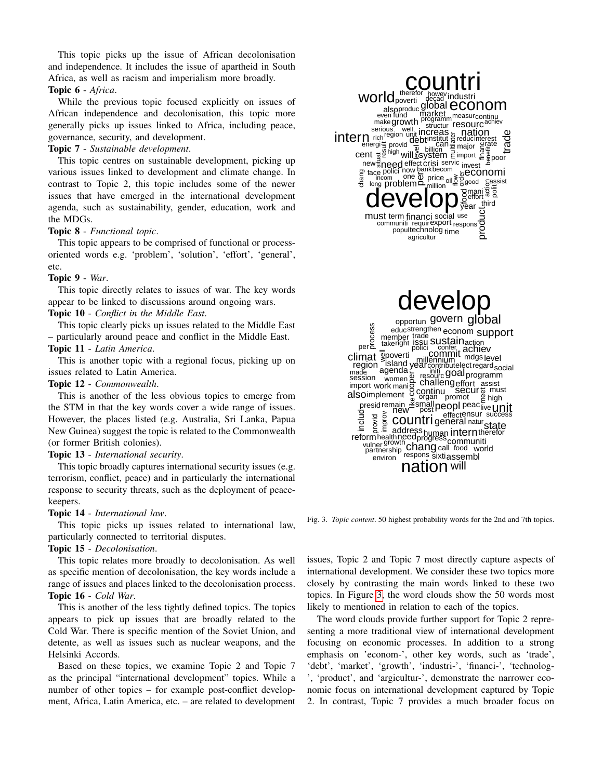This topic picks up the issue of African decolonisation and independence. It includes the issue of apartheid in South Africa, as well as racism and imperialism more broadly. Topic 6 - *Africa*.

While the previous topic focused explicitly on issues of African independence and decolonisation, this topic more generally picks up issues linked to Africa, including peace, governance, security, and development.

## Topic 7 - *Sustainable development*.

This topic centres on sustainable development, picking up various issues linked to development and climate change. In contrast to Topic 2, this topic includes some of the newer issues that have emerged in the international development agenda, such as sustainability, gender, education, work and the MDGs.

#### Topic 8 - *Functional topic*.

This topic appears to be comprised of functional or processoriented words e.g. 'problem', 'solution', 'effort', 'general', etc.

#### Topic 9 - *War*.

This topic directly relates to issues of war. The key words appear to be linked to discussions around ongoing wars. Topic 10 - *Conflict in the Middle East*.

This topic clearly picks up issues related to the Middle East – particularly around peace and conflict in the Middle East. Topic 11 - *Latin America*.

This is another topic with a regional focus, picking up on issues related to Latin America.

## Topic 12 - *Commonwealth*.

This is another of the less obvious topics to emerge from the STM in that the key words cover a wide range of issues. However, the places listed (e.g. Australia, Sri Lanka, Papua New Guinea) suggest the topic is related to the Commonwealth (or former British colonies).

#### Topic 13 - *International security*.

This topic broadly captures international security issues (e.g. terrorism, conflict, peace) and in particularly the international response to security threats, such as the deployment of peacekeepers.

#### Topic 14 - *International law*.

This topic picks up issues related to international law, particularly connected to territorial disputes.

## Topic 15 - *Decolonisation*.

This topic relates more broadly to decolonisation. As well as specific mention of decolonisation, the key words include a range of issues and places linked to the decolonisation process. Topic 16 - *Cold War*.

This is another of the less tightly defined topics. The topics appears to pick up issues that are broadly related to the Cold War. There is specific mention of the Soviet Union, and detente, as well as issues such as nuclear weapons, and the Helsinki Accords.

Based on these topics, we examine Topic 2 and Topic 7 as the principal "international development" topics. While a number of other topics – for example post-conflict development, Africa, Latin America, etc. – are related to development



# develop



<span id="page-2-0"></span>Fig. 3. *Topic content*. 50 highest probability words for the 2nd and 7th topics.

issues, Topic 2 and Topic 7 most directly capture aspects of international development. We consider these two topics more closely by contrasting the main words linked to these two topics. In Figure [3,](#page-2-0) the word clouds show the 50 words most likely to mentioned in relation to each of the topics.

The word clouds provide further support for Topic 2 representing a more traditional view of international development focusing on economic processes. In addition to a strong emphasis on 'econom-', other key words, such as 'trade', 'debt', 'market', 'growth', 'industri-', 'financi-', 'technolog- ', 'product', and 'argicultur-', demonstrate the narrower economic focus on international development captured by Topic 2. In contrast, Topic 7 provides a much broader focus on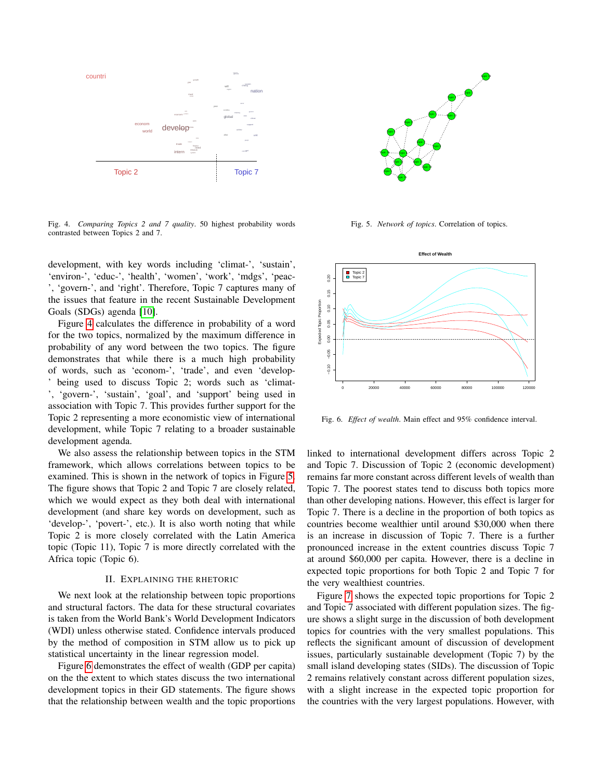

<span id="page-3-0"></span>Fig. 4. *Comparing Topics 2 and 7 quality*. 50 highest probability words contrasted between Topics 2 and 7.

development, with key words including 'climat-', 'sustain', 'environ-', 'educ-', 'health', 'women', 'work', 'mdgs', 'peac- ', 'govern-', and 'right'. Therefore, Topic 7 captures many of the issues that feature in the recent Sustainable Development Goals (SDGs) agenda [\[10\]](#page-5-9).

Figure [4](#page-3-0) calculates the difference in probability of a word for the two topics, normalized by the maximum difference in probability of any word between the two topics. The figure demonstrates that while there is a much high probability of words, such as 'econom-', 'trade', and even 'develop being used to discuss Topic 2; words such as 'climat-', 'govern-', 'sustain', 'goal', and 'support' being used in association with Topic 7. This provides further support for the Topic 2 representing a more economistic view of international development, while Topic 7 relating to a broader sustainable development agenda.

We also assess the relationship between topics in the STM framework, which allows correlations between topics to be examined. This is shown in the network of topics in Figure [5.](#page-3-1) The figure shows that Topic 2 and Topic 7 are closely related, which we would expect as they both deal with international development (and share key words on development, such as 'develop-', 'povert-', etc.). It is also worth noting that while Topic 2 is more closely correlated with the Latin America topic (Topic 11), Topic 7 is more directly correlated with the Africa topic (Topic 6).

#### II. EXPLAINING THE RHETORIC

We next look at the relationship between topic proportions and structural factors. The data for these structural covariates is taken from the World Bank's World Development Indicators (WDI) unless otherwise stated. Confidence intervals produced by the method of composition in STM allow us to pick up statistical uncertainty in the linear regression model.

Figure [6](#page-3-2) demonstrates the effect of wealth (GDP per capita) on the the extent to which states discuss the two international development topics in their GD statements. The figure shows that the relationship between wealth and the topic proportions



<span id="page-3-1"></span>Fig. 5. *Network of topics*. Correlation of topics.



<span id="page-3-2"></span>Fig. 6. *Effect of wealth*. Main effect and 95% confidence interval.

linked to international development differs across Topic 2 and Topic 7. Discussion of Topic 2 (economic development) remains far more constant across different levels of wealth than Topic 7. The poorest states tend to discuss both topics more than other developing nations. However, this effect is larger for Topic 7. There is a decline in the proportion of both topics as countries become wealthier until around \$30,000 when there is an increase in discussion of Topic 7. There is a further pronounced increase in the extent countries discuss Topic 7 at around \$60,000 per capita. However, there is a decline in expected topic proportions for both Topic 2 and Topic 7 for the very wealthiest countries.

Figure [7](#page-4-0) shows the expected topic proportions for Topic 2 and Topic 7 associated with different population sizes. The figure shows a slight surge in the discussion of both development topics for countries with the very smallest populations. This reflects the significant amount of discussion of development issues, particularly sustainable development (Topic 7) by the small island developing states (SIDs). The discussion of Topic 2 remains relatively constant across different population sizes, with a slight increase in the expected topic proportion for the countries with the very largest populations. However, with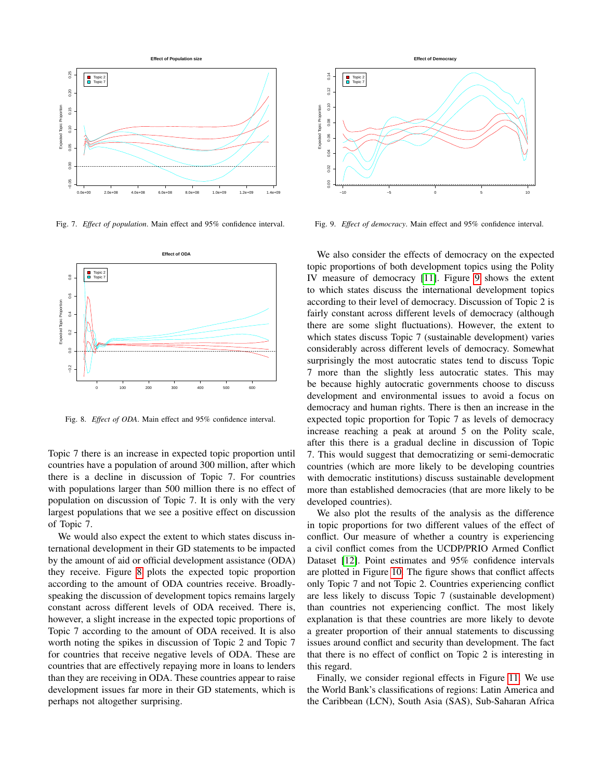

<span id="page-4-0"></span>Fig. 7. *Effect of population*. Main effect and 95% confidence interval.



<span id="page-4-1"></span>Fig. 8. *Effect of ODA*. Main effect and 95% confidence interval.

Topic 7 there is an increase in expected topic proportion until countries have a population of around 300 million, after which there is a decline in discussion of Topic 7. For countries with populations larger than 500 million there is no effect of population on discussion of Topic 7. It is only with the very largest populations that we see a positive effect on discussion of Topic 7.

We would also expect the extent to which states discuss international development in their GD statements to be impacted by the amount of aid or official development assistance (ODA) they receive. Figure [8](#page-4-1) plots the expected topic proportion according to the amount of ODA countries receive. Broadlyspeaking the discussion of development topics remains largely constant across different levels of ODA received. There is, however, a slight increase in the expected topic proportions of Topic 7 according to the amount of ODA received. It is also worth noting the spikes in discussion of Topic 2 and Topic 7 for countries that receive negative levels of ODA. These are countries that are effectively repaying more in loans to lenders than they are receiving in ODA. These countries appear to raise development issues far more in their GD statements, which is Fig. 7. *Effect of populations*. Main effect and 95% confidence interval.<br>
Fig. 7. *Effect of populations*. Main effect and 95% confidence interval.<br>
Fig. 9. *Effect of populations*. Main effect and 95% confidence interv



<span id="page-4-2"></span>Fig. 9. *Effect of democracy*. Main effect and 95% confidence interval.

We also consider the effects of democracy on the expected topic proportions of both development topics using the Polity IV measure of democracy [\[11\]](#page-5-10). Figure [9](#page-4-2) shows the extent to which states discuss the international development topics according to their level of democracy. Discussion of Topic 2 is fairly constant across different levels of democracy (although there are some slight fluctuations). However, the extent to which states discuss Topic 7 (sustainable development) varies considerably across different levels of democracy. Somewhat surprisingly the most autocratic states tend to discuss Topic 7 more than the slightly less autocratic states. This may be because highly autocratic governments choose to discuss development and environmental issues to avoid a focus on democracy and human rights. There is then an increase in the expected topic proportion for Topic 7 as levels of democracy increase reaching a peak at around 5 on the Polity scale, after this there is a gradual decline in discussion of Topic 7. This would suggest that democratizing or semi-democratic countries (which are more likely to be developing countries with democratic institutions) discuss sustainable development more than established democracies (that are more likely to be developed countries).

We also plot the results of the analysis as the difference in topic proportions for two different values of the effect of conflict. Our measure of whether a country is experiencing a civil conflict comes from the UCDP/PRIO Armed Conflict Dataset [\[12\]](#page-5-11). Point estimates and 95% confidence intervals are plotted in Figure [10.](#page-5-12) The figure shows that conflict affects only Topic 7 and not Topic 2. Countries experiencing conflict are less likely to discuss Topic 7 (sustainable development) than countries not experiencing conflict. The most likely explanation is that these countries are more likely to devote a greater proportion of their annual statements to discussing issues around conflict and security than development. The fact that there is no effect of conflict on Topic 2 is interesting in this regard.

Finally, we consider regional effects in Figure [11.](#page-5-13) We use the World Bank's classifications of regions: Latin America and the Caribbean (LCN), South Asia (SAS), Sub-Saharan Africa